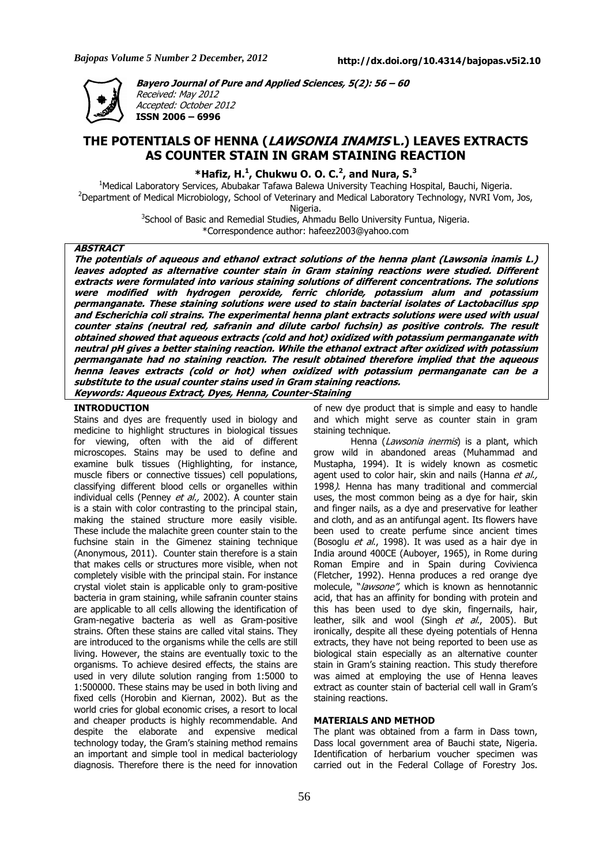

**Bayero Journal of Pure and Applied Sciences, 5(2): 56 – 60**  Received: May 2012 Accepted: October 2012 **ISSN 2006 – 6996** 

# **THE POTENTIALS OF HENNA (LAWSONIA INAMIS L.) LEAVES EXTRACTS AS COUNTER STAIN IN GRAM STAINING REACTION**

**\*Hafiz, H.<sup>1</sup> , Chukwu O. O. C.<sup>2</sup> , and Nura, S.<sup>3</sup>**

<sup>1</sup>Medical Laboratory Services, Abubakar Tafawa Balewa University Teaching Hospital, Bauchi, Nigeria. <sup>2</sup>Department of Medical Microbiology, School of Veterinary and Medical Laboratory Technology, NVRI Vom, Jos,

Nigeria.

<sup>3</sup>School of Basic and Remedial Studies, Ahmadu Bello University Funtua, Nigeria. \*Correspondence author: hafeez2003@yahoo.com

# **ABSTRACT**

**The potentials of aqueous and ethanol extract solutions of the henna plant (Lawsonia inamis L.) leaves adopted as alternative counter stain in Gram staining reactions were studied. Different extracts were formulated into various staining solutions of different concentrations. The solutions were modified with hydrogen peroxide, ferric chloride, potassium alum and potassium permanganate. These staining solutions were used to stain bacterial isolates of Lactobacillus spp and Escherichia coli strains. The experimental henna plant extracts solutions were used with usual counter stains (neutral red, safranin and dilute carbol fuchsin) as positive controls. The result obtained showed that aqueous extracts (cold and hot) oxidized with potassium permanganate with neutral pH gives a better staining reaction. While the ethanol extract after oxidized with potassium permanganate had no staining reaction. The result obtained therefore implied that the aqueous henna leaves extracts (cold or hot) when oxidized with potassium permanganate can be a substitute to the usual counter stains used in Gram staining reactions. Keywords: Aqueous Extract, Dyes, Henna, Counter-Staining** 

#### **INTRODUCTION**

Stains and dyes are frequently used in biology and medicine to highlight structures in biological tissues for viewing, often with the aid of different microscopes. Stains may be used to define and examine bulk tissues (Highlighting, for instance, muscle fibers or connective tissues) cell populations, classifying different blood cells or organelles within individual cells (Penney et al., 2002). A counter stain is a stain with color contrasting to the principal stain, making the stained structure more easily visible. These include the malachite green counter stain to the fuchsine stain in the Gimenez staining technique (Anonymous, 2011). Counter stain therefore is a stain that makes cells or structures more visible, when not completely visible with the principal stain. For instance crystal violet stain is applicable only to gram-positive bacteria in gram staining, while safranin counter stains are applicable to all cells allowing the identification of Gram-negative bacteria as well as Gram-positive strains. Often these stains are called vital stains. They are introduced to the organisms while the cells are still living. However, the stains are eventually toxic to the organisms. To achieve desired effects, the stains are used in very dilute solution ranging from 1:5000 to 1:500000. These stains may be used in both living and fixed cells (Horobin and Kiernan, 2002). But as the world cries for global economic crises, a resort to local and cheaper products is highly recommendable. And despite the elaborate and expensive medical technology today, the Gram's staining method remains an important and simple tool in medical bacteriology diagnosis. Therefore there is the need for innovation of new dye product that is simple and easy to handle and which might serve as counter stain in gram staining technique.

Henna (Lawsonia inermis) is a plant, which grow wild in abandoned areas (Muhammad and Mustapha, 1994). It is widely known as cosmetic agent used to color hair, skin and nails (Hanna et al., 1998). Henna has many traditional and commercial uses, the most common being as a dye for hair, skin and finger nails, as a dye and preservative for leather and cloth, and as an antifungal agent. Its flowers have been used to create perfume since ancient times (Bosoglu *et al.*, 1998). It was used as a hair dye in India around 400CE (Auboyer, 1965), in Rome during Roman Empire and in Spain during Covivienca (Fletcher, 1992). Henna produces a red orange dye molecule, "lawsone", which is known as hennotannic acid, that has an affinity for bonding with protein and this has been used to dye skin, fingernails, hair, leather, silk and wool (Singh et al., 2005). But ironically, despite all these dyeing potentials of Henna extracts, they have not being reported to been use as biological stain especially as an alternative counter stain in Gram's staining reaction. This study therefore was aimed at employing the use of Henna leaves extract as counter stain of bacterial cell wall in Gram's staining reactions.

#### **MATERIALS AND METHOD**

The plant was obtained from a farm in Dass town, Dass local government area of Bauchi state, Nigeria. Identification of herbarium voucher specimen was carried out in the Federal Collage of Forestry Jos.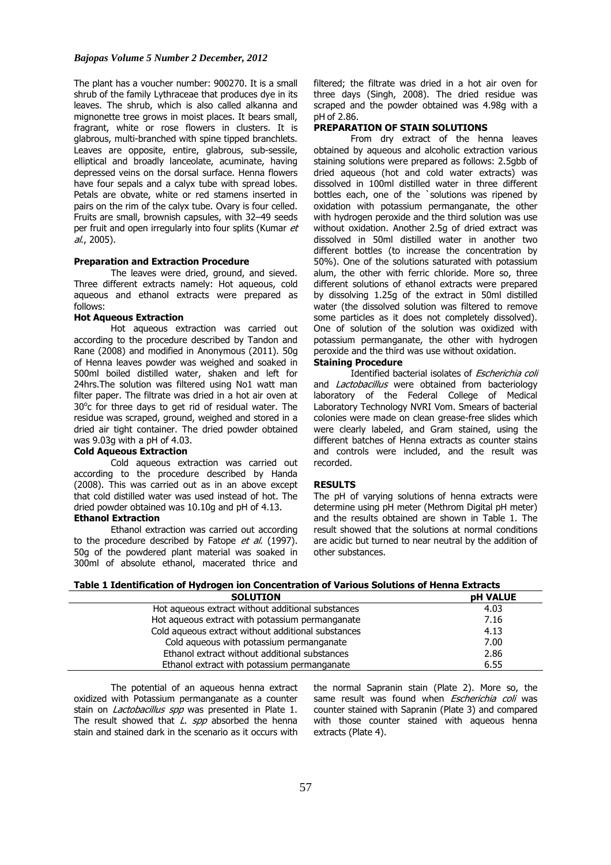The plant has a voucher number: 900270. It is a small shrub of the family Lythraceae that produces dye in its leaves. The shrub, which is also called alkanna and mignonette tree grows in moist places. It bears small, fragrant, white or rose flowers in clusters. It is glabrous, multi-branched with spine tipped branchlets. Leaves are opposite, entire, glabrous, sub-sessile, elliptical and broadly lanceolate, acuminate, having depressed veins on the dorsal surface. Henna flowers have four sepals and a calyx tube with spread lobes. Petals are obvate, white or red stamens inserted in pairs on the rim of the calyx tube. Ovary is four celled. Fruits are small, brownish capsules, with 32–49 seeds per fruit and open irregularly into four splits (Kumar et al., 2005).

#### **Preparation and Extraction Procedure**

The leaves were dried, ground, and sieved. Three different extracts namely: Hot aqueous, cold aqueous and ethanol extracts were prepared as follows:

### **Hot Aqueous Extraction**

Hot aqueous extraction was carried out according to the procedure described by Tandon and Rane (2008) and modified in Anonymous (2011). 50g of Henna leaves powder was weighed and soaked in 500ml boiled distilled water, shaken and left for 24hrs.The solution was filtered using No1 watt man filter paper. The filtrate was dried in a hot air oven at 30°c for three days to get rid of residual water. The residue was scraped, ground, weighed and stored in a dried air tight container. The dried powder obtained was 9.03g with a pH of 4.03.

### **Cold Aqueous Extraction**

Cold aqueous extraction was carried out according to the procedure described by Handa (2008). This was carried out as in an above except that cold distilled water was used instead of hot. The dried powder obtained was 10.10g and pH of 4.13.

# **Ethanol Extraction**

Ethanol extraction was carried out according to the procedure described by Fatope et al. (1997). 50g of the powdered plant material was soaked in 300ml of absolute ethanol, macerated thrice and

filtered; the filtrate was dried in a hot air oven for three days (Singh, 2008). The dried residue was scraped and the powder obtained was 4.98g with a pH of 2.86.

#### **PREPARATION OF STAIN SOLUTIONS**

From dry extract of the henna leaves obtained by aqueous and alcoholic extraction various staining solutions were prepared as follows: 2.5gbb of dried aqueous (hot and cold water extracts) was dissolved in 100ml distilled water in three different bottles each, one of the `solutions was ripened by oxidation with potassium permanganate, the other with hydrogen peroxide and the third solution was use without oxidation. Another 2.5g of dried extract was dissolved in 50ml distilled water in another two different bottles (to increase the concentration by 50%). One of the solutions saturated with potassium alum, the other with ferric chloride. More so, three different solutions of ethanol extracts were prepared by dissolving 1.25g of the extract in 50ml distilled water (the dissolved solution was filtered to remove some particles as it does not completely dissolved). One of solution of the solution was oxidized with potassium permanganate, the other with hydrogen peroxide and the third was use without oxidation.

### **Staining Procedure**

Identified bacterial isolates of Escherichia coli and *Lactobacillus* were obtained from bacteriology laboratory of the Federal College of Medical Laboratory Technology NVRI Vom. Smears of bacterial colonies were made on clean grease-free slides which were clearly labeled, and Gram stained, using the different batches of Henna extracts as counter stains and controls were included, and the result was recorded.

#### **RESULTS**

The pH of varying solutions of henna extracts were determine using pH meter (Methrom Digital pH meter) and the results obtained are shown in Table 1. The result showed that the solutions at normal conditions are acidic but turned to near neutral by the addition of other substances.

|  | Table 1 Identification of Hydrogen ion Concentration of Various Solutions of Henna Extracts |  |
|--|---------------------------------------------------------------------------------------------|--|
|--|---------------------------------------------------------------------------------------------|--|

|  | <b>SOLUTION</b>                                    | <b>pH VALUE</b> |
|--|----------------------------------------------------|-----------------|
|  | Hot aqueous extract without additional substances  | 4.03            |
|  | Hot aqueous extract with potassium permanganate    | 7.16            |
|  | Cold aqueous extract without additional substances | 4.13            |
|  | Cold aqueous with potassium permanganate           | 7.00            |
|  | Ethanol extract without additional substances      | 2.86            |
|  | Ethanol extract with potassium permanganate        | 6.55            |
|  |                                                    |                 |

The potential of an aqueous henna extract oxidized with Potassium permanganate as a counter stain on *Lactobacillus spp* was presented in Plate 1. The result showed that  $\mathcal{L}$ ,  $\mathcal{S}D\mathcal{D}$  absorbed the henna stain and stained dark in the scenario as it occurs with

the normal Sapranin stain (Plate 2). More so, the same result was found when Escherichia coli was counter stained with Sapranin (Plate 3) and compared with those counter stained with aqueous henna extracts (Plate 4).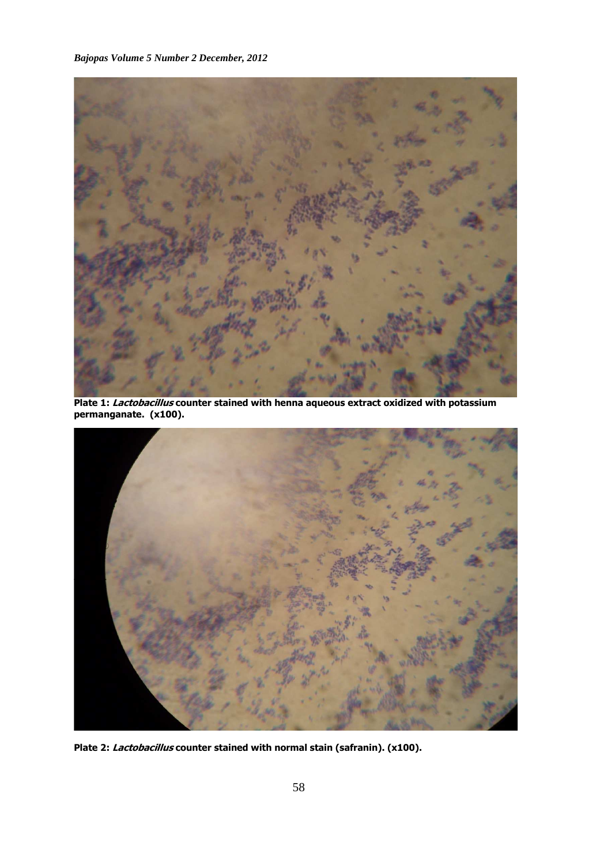

**Plate 1: Lactobacillus counter stained with henna aqueous extract oxidized with potassium permanganate. (x100).** 



**Plate 2: Lactobacillus counter stained with normal stain (safranin). (x100).**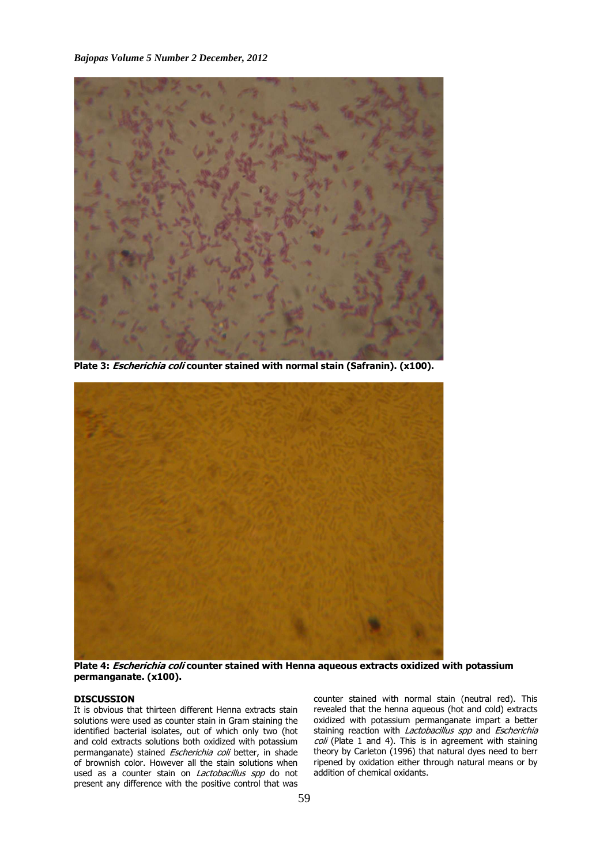

**Plate 3: Escherichia coli counter stained with normal stain (Safranin). (x100).** 



**Plate 4: Escherichia coli counter stained with Henna aqueous extracts oxidized with potassium permanganate. (x100).**

# **DISCUSSION**

It is obvious that thirteen different Henna extracts stain solutions were used as counter stain in Gram staining the identified bacterial isolates, out of which only two (hot and cold extracts solutions both oxidized with potassium permanganate) stained *Escherichia coli* better, in shade of brownish color. However all the stain solutions when used as a counter stain on *Lactobacillus spp* do not present any difference with the positive control that was

counter stained with normal stain (neutral red). This revealed that the henna aqueous (hot and cold) extracts oxidized with potassium permanganate impart a better staining reaction with *Lactobacillus spp* and *Escherichia* coli (Plate 1 and 4). This is in agreement with staining theory by Carleton (1996) that natural dyes need to berr ripened by oxidation either through natural means or by addition of chemical oxidants.